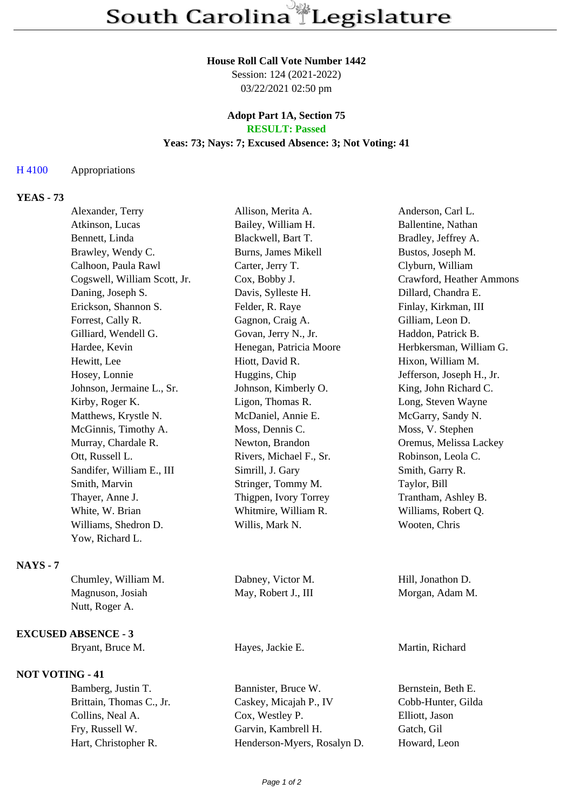#### **House Roll Call Vote Number 1442**

Session: 124 (2021-2022) 03/22/2021 02:50 pm

### **Adopt Part 1A, Section 75 RESULT: Passed**

## **Yeas: 73; Nays: 7; Excused Absence: 3; Not Voting: 41**

## H 4100 Appropriations

# **YEAS - 73**

|               | Alexander, Terry             | Allison, Merita A.      | Anderson, Carl L.         |
|---------------|------------------------------|-------------------------|---------------------------|
|               | Atkinson, Lucas              | Bailey, William H.      | Ballentine, Nathan        |
|               | Bennett, Linda               | Blackwell, Bart T.      | Bradley, Jeffrey A.       |
|               | Brawley, Wendy C.            | Burns, James Mikell     | Bustos, Joseph M.         |
|               | Calhoon, Paula Rawl          | Carter, Jerry T.        | Clyburn, William          |
|               | Cogswell, William Scott, Jr. | Cox, Bobby J.           | Crawford, Heather Ammons  |
|               | Daning, Joseph S.            | Davis, Sylleste H.      | Dillard, Chandra E.       |
|               | Erickson, Shannon S.         | Felder, R. Raye         | Finlay, Kirkman, III      |
|               | Forrest, Cally R.            | Gagnon, Craig A.        | Gilliam, Leon D.          |
|               | Gilliard, Wendell G.         | Govan, Jerry N., Jr.    | Haddon, Patrick B.        |
|               | Hardee, Kevin                | Henegan, Patricia Moore | Herbkersman, William G.   |
|               | Hewitt, Lee                  | Hiott, David R.         | Hixon, William M.         |
|               | Hosey, Lonnie                | Huggins, Chip           | Jefferson, Joseph H., Jr. |
|               | Johnson, Jermaine L., Sr.    | Johnson, Kimberly O.    | King, John Richard C.     |
|               | Kirby, Roger K.              | Ligon, Thomas R.        | Long, Steven Wayne        |
|               | Matthews, Krystle N.         | McDaniel, Annie E.      | McGarry, Sandy N.         |
|               | McGinnis, Timothy A.         | Moss, Dennis C.         | Moss, V. Stephen          |
|               | Murray, Chardale R.          | Newton, Brandon         | Oremus, Melissa Lackey    |
|               | Ott, Russell L.              | Rivers, Michael F., Sr. | Robinson, Leola C.        |
|               | Sandifer, William E., III    | Simrill, J. Gary        | Smith, Garry R.           |
|               | Smith, Marvin                | Stringer, Tommy M.      | Taylor, Bill              |
|               | Thayer, Anne J.              | Thigpen, Ivory Torrey   | Trantham, Ashley B.       |
|               | White, W. Brian              | Whitmire, William R.    | Williams, Robert Q.       |
|               | Williams, Shedron D.         | Willis, Mark N.         | Wooten, Chris             |
|               | Yow, Richard L.              |                         |                           |
| <b>NAYS-7</b> |                              |                         |                           |
|               | Chumley, William M.          | Dabney, Victor M.       | Hill, Jonathon D.         |
|               | Magnuson, Josiah             | May, Robert J., III     | Morgan, Adam M.           |
|               | Nutt, Roger A.               |                         |                           |
|               | <b>EXCUSED ABSENCE - 3</b>   |                         |                           |
|               | Bryant, Bruce M.             | Hayes, Jackie E.        | Martin, Richard           |
|               | <b>NOT VOTING - 41</b>       |                         |                           |
|               | Bamberg, Justin T.           | Bannister, Bruce W.     | Bernstein, Beth E.        |

Brittain, Thomas C., Jr. Caskey, Micajah P., IV Cobb-Hunter, Gilda Collins, Neal A. Cox, Westley P. Elliott, Jason Fry, Russell W. Garvin, Kambrell H. Gatch, Gil Hart, Christopher R. Henderson-Myers, Rosalyn D. Howard, Leon